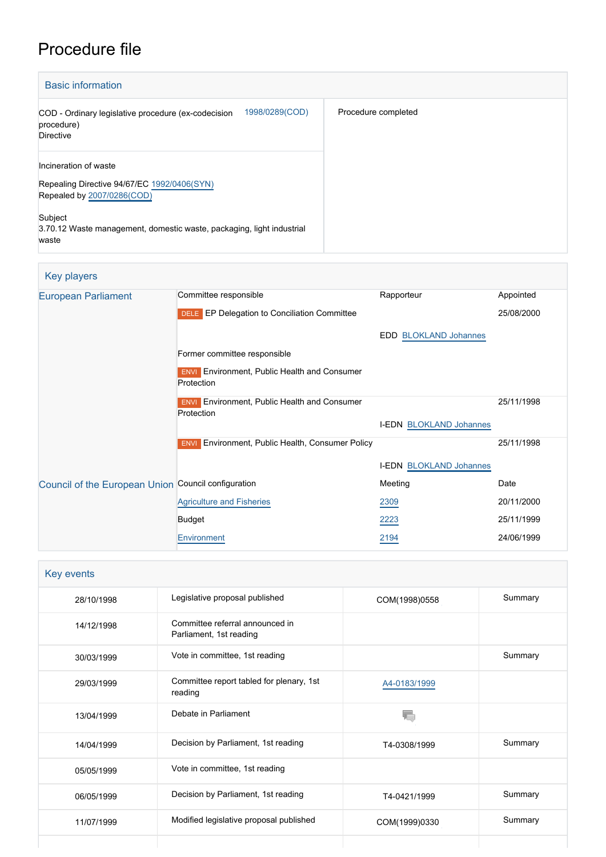# Procedure file

| <b>Basic information</b>                                                                                                                                                                        |                     |
|-------------------------------------------------------------------------------------------------------------------------------------------------------------------------------------------------|---------------------|
| 1998/0289(COD)<br>COD - Ordinary legislative procedure (ex-codecision<br>procedure)<br><b>Directive</b>                                                                                         | Procedure completed |
| Incineration of waste<br>Repealing Directive 94/67/EC 1992/0406(SYN)<br>Repealed by 2007/0286(COD)<br>Subject<br>3.70.12 Waste management, domestic waste, packaging, light industrial<br>waste |                     |

# Key players

| <b>European Parliament</b>                          | Committee responsible                                             | Rapporteur                     | Appointed  |
|-----------------------------------------------------|-------------------------------------------------------------------|--------------------------------|------------|
|                                                     | <b>DELE</b> EP Delegation to Conciliation Committee               |                                | 25/08/2000 |
|                                                     |                                                                   | <b>EDD BLOKLAND Johannes</b>   |            |
|                                                     | Former committee responsible                                      |                                |            |
|                                                     | <b>ENVI</b> Environment, Public Health and Consumer<br>Protection |                                |            |
|                                                     | <b>ENVI</b> Environment, Public Health and Consumer               |                                | 25/11/1998 |
|                                                     | Protection                                                        | <b>I-EDN BLOKLAND Johannes</b> |            |
|                                                     | <b>ENVI</b> Environment, Public Health, Consumer Policy           |                                | 25/11/1998 |
|                                                     |                                                                   | <b>I-EDN BLOKLAND Johannes</b> |            |
| Council of the European Union Council configuration |                                                                   | Meeting                        | Date       |
|                                                     | <b>Agriculture and Fisheries</b>                                  | 2309                           | 20/11/2000 |
|                                                     | <b>Budget</b>                                                     | 2223                           | 25/11/1999 |
|                                                     | Environment                                                       | 2194                           | 24/06/1999 |

| Key events |                                                            |               |         |
|------------|------------------------------------------------------------|---------------|---------|
| 28/10/1998 | Legislative proposal published                             | COM(1998)0558 | Summary |
| 14/12/1998 | Committee referral announced in<br>Parliament, 1st reading |               |         |
| 30/03/1999 | Vote in committee, 1st reading                             |               | Summary |
| 29/03/1999 | Committee report tabled for plenary, 1st<br>reading        | A4-0183/1999  |         |
| 13/04/1999 | Debate in Parliament                                       |               |         |
| 14/04/1999 | Decision by Parliament, 1st reading                        | T4-0308/1999  | Summary |
| 05/05/1999 | Vote in committee, 1st reading                             |               |         |
| 06/05/1999 | Decision by Parliament, 1st reading                        | T4-0421/1999  | Summary |
| 11/07/1999 | Modified legislative proposal published                    | COM(1999)0330 | Summary |
|            |                                                            |               |         |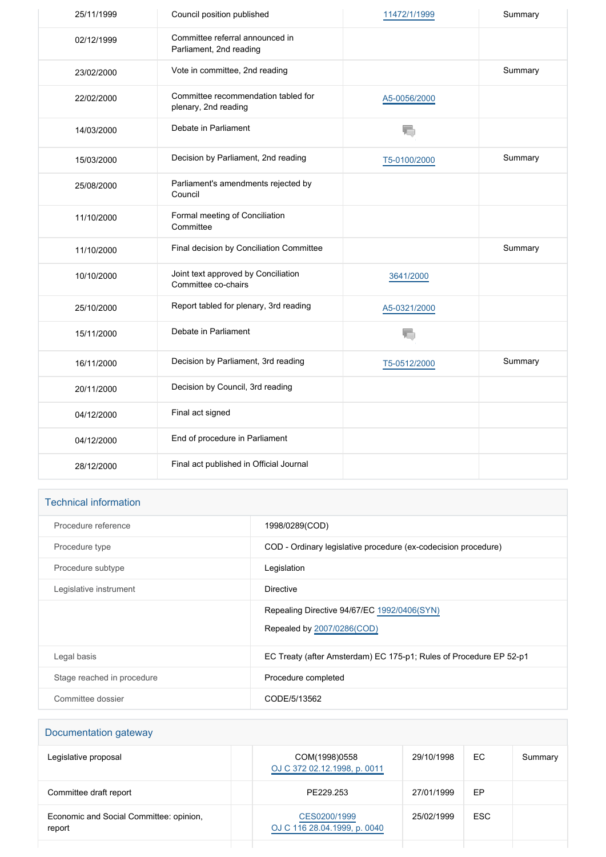| 25/11/1999 | Council position published                                  | 11472/1/1999 | Summary |
|------------|-------------------------------------------------------------|--------------|---------|
| 02/12/1999 | Committee referral announced in<br>Parliament, 2nd reading  |              |         |
| 23/02/2000 | Vote in committee, 2nd reading                              |              | Summary |
| 22/02/2000 | Committee recommendation tabled for<br>plenary, 2nd reading | A5-0056/2000 |         |
| 14/03/2000 | Debate in Parliament                                        | T.           |         |
| 15/03/2000 | Decision by Parliament, 2nd reading                         | T5-0100/2000 | Summary |
| 25/08/2000 | Parliament's amendments rejected by<br>Council              |              |         |
| 11/10/2000 | Formal meeting of Conciliation<br>Committee                 |              |         |
| 11/10/2000 | Final decision by Conciliation Committee                    |              | Summary |
| 10/10/2000 | Joint text approved by Conciliation<br>Committee co-chairs  | 3641/2000    |         |
| 25/10/2000 | Report tabled for plenary, 3rd reading                      | A5-0321/2000 |         |
| 15/11/2000 | Debate in Parliament                                        | T.           |         |
| 16/11/2000 | Decision by Parliament, 3rd reading                         | T5-0512/2000 | Summary |
| 20/11/2000 | Decision by Council, 3rd reading                            |              |         |
| 04/12/2000 | Final act signed                                            |              |         |
| 04/12/2000 | End of procedure in Parliament                              |              |         |
| 28/12/2000 | Final act published in Official Journal                     |              |         |

# Technical information

| Procedure reference        | 1998/0289(COD)                                                            |
|----------------------------|---------------------------------------------------------------------------|
| Procedure type             | COD - Ordinary legislative procedure (ex-codecision procedure)            |
| Procedure subtype          | Legislation                                                               |
| Legislative instrument     | Directive                                                                 |
|                            | Repealing Directive 94/67/EC 1992/0406(SYN)<br>Repealed by 2007/0286(COD) |
| Legal basis                | EC Treaty (after Amsterdam) EC 175-p1; Rules of Procedure EP 52-p1        |
| Stage reached in procedure | Procedure completed                                                       |
| Committee dossier          | CODE/5/13562                                                              |

| Documentation gateway                             |                                               |            |            |         |
|---------------------------------------------------|-----------------------------------------------|------------|------------|---------|
| Legislative proposal                              | COM(1998)0558<br>OJ C 372 02.12.1998, p. 0011 | 29/10/1998 | EC.        | Summary |
| Committee draft report                            | PE229.253                                     | 27/01/1999 | EP         |         |
| Economic and Social Committee: opinion.<br>report | CES0200/1999<br>OJ C 116 28.04.1999, p. 0040  | 25/02/1999 | <b>ESC</b> |         |
|                                                   |                                               |            |            |         |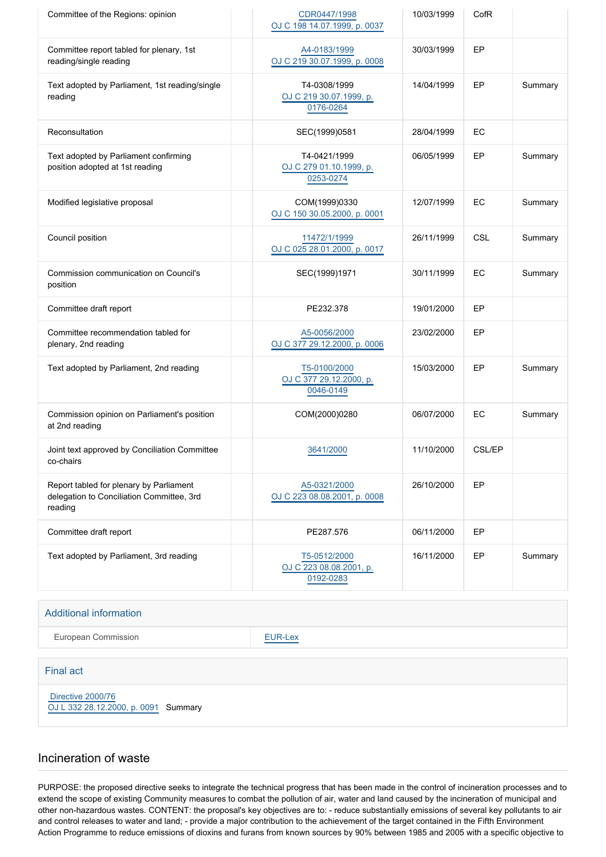| Committee of the Regions: opinion                                                               | CDR0447/1998<br>OJ C 198 14.07.1999, p. 0037         | 10/03/1999 | CofR          |         |
|-------------------------------------------------------------------------------------------------|------------------------------------------------------|------------|---------------|---------|
| Committee report tabled for plenary, 1st<br>reading/single reading                              | A4-0183/1999<br>OJ C 219 30.07.1999, p. 0008         | 30/03/1999 | EP            |         |
| Text adopted by Parliament, 1st reading/single<br>reading                                       | T4-0308/1999<br>OJ C 219 30.07.1999, p.<br>0176-0264 | 14/04/1999 | EP            | Summary |
| Reconsultation                                                                                  | SEC(1999)0581                                        | 28/04/1999 | EC            |         |
| Text adopted by Parliament confirming<br>position adopted at 1st reading                        | T4-0421/1999<br>OJ C 279 01.10.1999, p.<br>0253-0274 | 06/05/1999 | EP            | Summary |
| Modified legislative proposal                                                                   | COM(1999)0330<br>OJ C 150 30.05.2000, p. 0001        | 12/07/1999 | EC            | Summary |
| Council position                                                                                | 11472/1/1999<br>OJ C 025 28.01.2000, p. 0017         | 26/11/1999 | <b>CSL</b>    | Summary |
| Commission communication on Council's<br>position                                               | SEC(1999)1971                                        | 30/11/1999 | EC            | Summary |
| Committee draft report                                                                          | PE232.378                                            | 19/01/2000 | EP            |         |
| Committee recommendation tabled for<br>plenary, 2nd reading                                     | A5-0056/2000<br>OJ C 377 29.12.2000, p. 0006         | 23/02/2000 | EP            |         |
| Text adopted by Parliament, 2nd reading                                                         | T5-0100/2000<br>OJ C 377 29.12.2000, p.<br>0046-0149 | 15/03/2000 | EP            | Summary |
| Commission opinion on Parliament's position<br>at 2nd reading                                   | COM(2000)0280                                        | 06/07/2000 | EC            | Summary |
| Joint text approved by Conciliation Committee<br>co-chairs                                      | 3641/2000                                            | 11/10/2000 | <b>CSL/EP</b> |         |
| Report tabled for plenary by Parliament<br>delegation to Conciliation Committee, 3rd<br>reading | A5-0321/2000<br>OJ C 223 08.08.2001, p. 0008         | 26/10/2000 | EP            |         |
| Committee draft report                                                                          | PE287.576                                            | 06/11/2000 | EP            |         |
| Text adopted by Parliament, 3rd reading                                                         | T5-0512/2000<br>OJ C 223 08.08.2001, p.<br>0192-0283 | 16/11/2000 | EP            | Summary |

#### Additional information

European Commission **[EUR-Lex](http://ec.europa.eu/prelex/liste_resultats.cfm?CL=en&ReqId=0&DocType=COD&DocYear=1998&DocNum=0289)** 

#### Final act

 [Directive 2000/76](https://eur-lex.europa.eu/smartapi/cgi/sga_doc?smartapi!celexplus!prod!CELEXnumdoc&lg=EN&numdoc=32000L0076) [OJ L 332 28.12.2000, p. 0091](https://eur-lex.europa.eu/JOHtml.do?uri=OJ:L:2000:332:SOM:EN:HTML) Summary

# Incineration of waste

PURPOSE: the proposed directive seeks to integrate the technical progress that has been made in the control of incineration processes and to extend the scope of existing Community measures to combat the pollution of air, water and land caused by the incineration of municipal and other non-hazardous wastes. CONTENT: the proposal's key objectives are to: - reduce substantially emissions of several key pollutants to air and control releases to water and land; - provide a major contribution to the achievement of the target contained in the Fifth Environment Action Programme to reduce emissions of dioxins and furans from known sources by 90% between 1985 and 2005 with a specific objective to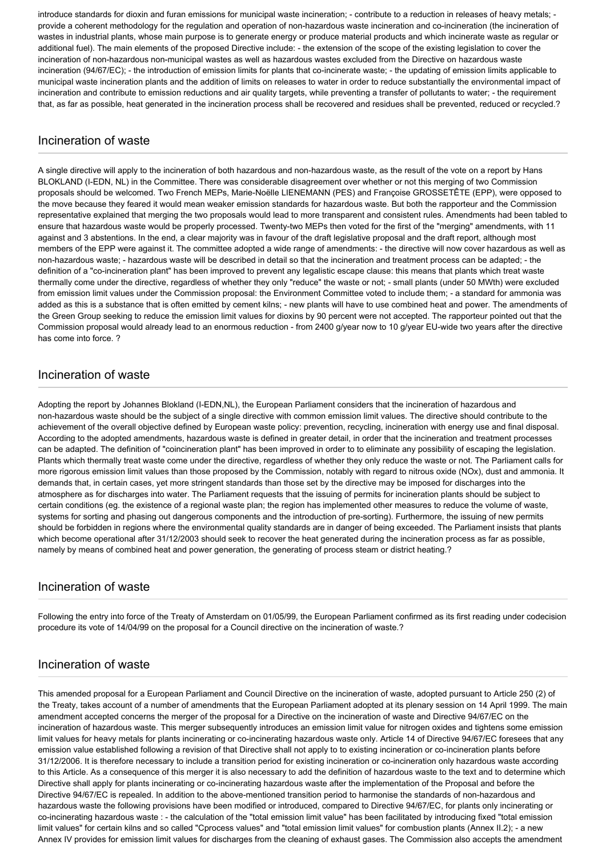introduce standards for dioxin and furan emissions for municipal waste incineration; - contribute to a reduction in releases of heavy metals; provide a coherent methodology for the regulation and operation of non-hazardous waste incineration and co-incineration (the incineration of wastes in industrial plants, whose main purpose is to generate energy or produce material products and which incinerate waste as regular or additional fuel). The main elements of the proposed Directive include: - the extension of the scope of the existing legislation to cover the incineration of non-hazardous non-municipal wastes as well as hazardous wastes excluded from the Directive on hazardous waste incineration (94/67/EC); - the introduction of emission limits for plants that co-incinerate waste; - the updating of emission limits applicable to municipal waste incineration plants and the addition of limits on releases to water in order to reduce substantially the environmental impact of incineration and contribute to emission reductions and air quality targets, while preventing a transfer of pollutants to water; - the requirement that, as far as possible, heat generated in the incineration process shall be recovered and residues shall be prevented, reduced or recycled.?

#### Incineration of waste

A single directive will apply to the incineration of both hazardous and non-hazardous waste, as the result of the vote on a report by Hans BLOKLAND (I-EDN, NL) in the Committee. There was considerable disagreement over whether or not this merging of two Commission proposals should be welcomed. Two French MEPs, Marie-Noëlle LIENEMANN (PES) and Françoise GROSSETÊTE (EPP), were opposed to the move because they feared it would mean weaker emission standards for hazardous waste. But both the rapporteur and the Commission representative explained that merging the two proposals would lead to more transparent and consistent rules. Amendments had been tabled to ensure that hazardous waste would be properly processed. Twenty-two MEPs then voted for the first of the "merging" amendments, with 11 against and 3 abstentions. In the end, a clear majority was in favour of the draft legislative proposal and the draft report, although most members of the EPP were against it. The committee adopted a wide range of amendments: - the directive will now cover hazardous as well as non-hazardous waste; - hazardous waste will be described in detail so that the incineration and treatment process can be adapted; - the definition of a "co-incineration plant" has been improved to prevent any legalistic escape clause: this means that plants which treat waste thermally come under the directive, regardless of whether they only "reduce" the waste or not; - small plants (under 50 MWth) were excluded from emission limit values under the Commission proposal: the Environment Committee voted to include them; - a standard for ammonia was added as this is a substance that is often emitted by cement kilns; - new plants will have to use combined heat and power. The amendments of the Green Group seeking to reduce the emission limit values for dioxins by 90 percent were not accepted. The rapporteur pointed out that the Commission proposal would already lead to an enormous reduction - from 2400 g/year now to 10 g/year EU-wide two years after the directive has come into force. ?

# Incineration of waste

Adopting the report by Johannes Blokland (I-EDN,NL), the European Parliament considers that the incineration of hazardous and non-hazardous waste should be the subject of a single directive with common emission limit values. The directive should contribute to the achievement of the overall objective defined by European waste policy: prevention, recycling, incineration with energy use and final disposal. According to the adopted amendments, hazardous waste is defined in greater detail, in order that the incineration and treatment processes can be adapted. The definition of "coincineration plant" has been improved in order to to eliminate any possibility of escaping the legislation. Plants which thermally treat waste come under the directive, regardless of whether they only reduce the waste or not. The Parliament calls for more rigorous emission limit values than those proposed by the Commission, notably with regard to nitrous oxide (NOx), dust and ammonia. It demands that, in certain cases, yet more stringent standards than those set by the directive may be imposed for discharges into the atmosphere as for discharges into water. The Parliament requests that the issuing of permits for incineration plants should be subject to certain conditions (eg. the existence of a regional waste plan; the region has implemented other measures to reduce the volume of waste, systems for sorting and phasing out dangerous components and the introduction of pre-sorting). Furthermore, the issuing of new permits should be forbidden in regions where the environmental quality standards are in danger of being exceeded. The Parliament insists that plants which become operational after 31/12/2003 should seek to recover the heat generated during the incineration process as far as possible, namely by means of combined heat and power generation, the generating of process steam or district heating.?

# Incineration of waste

Following the entry into force of the Treaty of Amsterdam on 01/05/99, the European Parliament confirmed as its first reading under codecision procedure its vote of 14/04/99 on the proposal for a Council directive on the incineration of waste.?

# Incineration of waste

This amended proposal for a European Parliament and Council Directive on the incineration of waste, adopted pursuant to Article 250 (2) of the Treaty, takes account of a number of amendments that the European Parliament adopted at its plenary session on 14 April 1999. The main amendment accepted concerns the merger of the proposal for a Directive on the incineration of waste and Directive 94/67/EC on the incineration of hazardous waste. This merger subsequently introduces an emission limit value for nitrogen oxides and tightens some emission limit values for heavy metals for plants incinerating or co-incinerating hazardous waste only. Article 14 of Directive 94/67/EC foresees that any emission value established following a revision of that Directive shall not apply to to existing incineration or co-incineration plants before 31/12/2006. It is therefore necessary to include a transition period for existing incineration or co-incineration only hazardous waste according to this Article. As a consequence of this merger it is also necessary to add the definition of hazardous waste to the text and to determine which Directive shall apply for plants incinerating or co-incinerating hazardous waste after the implementation of the Proposal and before the Directive 94/67/EC is repealed. In addition to the above-mentioned transition period to harmonise the standards of non-hazardous and hazardous waste the following provisions have been modified or introduced, compared to Directive 94/67/EC, for plants only incinerating or co-incinerating hazardous waste : - the calculation of the "total emission limit value" has been facilitated by introducing fixed "total emission limit values" for certain kilns and so called "Cprocess values" and "total emission limit values" for combustion plants (Annex II.2); - a new Annex IV provides for emission limit values for discharges from the cleaning of exhaust gases. The Commission also accepts the amendment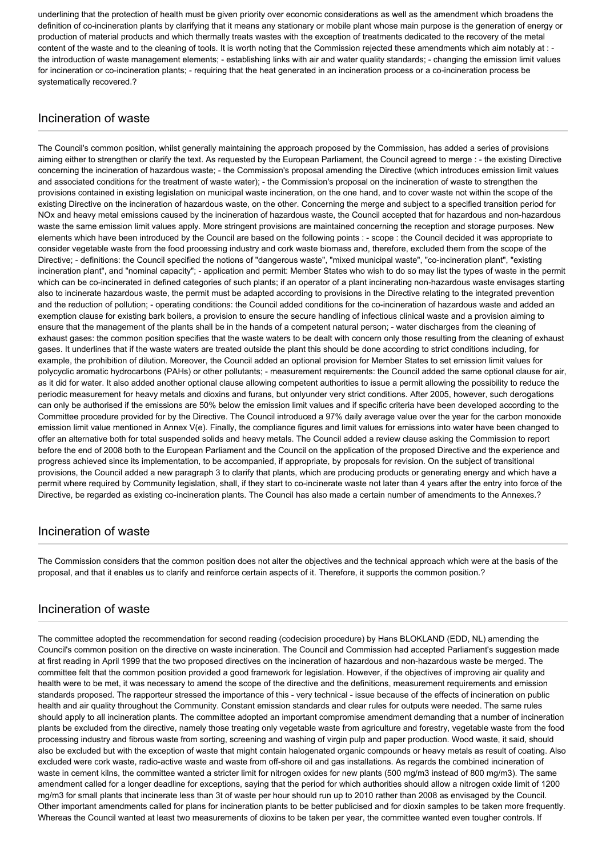underlining that the protection of health must be given priority over economic considerations as well as the amendment which broadens the definition of co-incineration plants by clarifying that it means any stationary or mobile plant whose main purpose is the generation of energy or production of material products and which thermally treats wastes with the exception of treatments dedicated to the recovery of the metal content of the waste and to the cleaning of tools. It is worth noting that the Commission rejected these amendments which aim notably at : the introduction of waste management elements; - establishing links with air and water quality standards; - changing the emission limit values for incineration or co-incineration plants; - requiring that the heat generated in an incineration process or a co-incineration process be systematically recovered.?

# Incineration of waste

The Council's common position, whilst generally maintaining the approach proposed by the Commission, has added a series of provisions aiming either to strengthen or clarify the text. As requested by the European Parliament, the Council agreed to merge : - the existing Directive concerning the incineration of hazardous waste; - the Commission's proposal amending the Directive (which introduces emission limit values and associated conditions for the treatment of waste water); - the Commission's proposal on the incineration of waste to strengthen the provisions contained in existing legislation on municipal waste incineration, on the one hand, and to cover waste not within the scope of the existing Directive on the incineration of hazardous waste, on the other. Concerning the merge and subject to a specified transition period for NOx and heavy metal emissions caused by the incineration of hazardous waste, the Council accepted that for hazardous and non-hazardous waste the same emission limit values apply. More stringent provisions are maintained concerning the reception and storage purposes. New elements which have been introduced by the Council are based on the following points : - scope : the Council decided it was appropriate to consider vegetable waste from the food processing industry and cork waste biomass and, therefore, excluded them from the scope of the Directive; - definitions: the Council specified the notions of "dangerous waste", "mixed municipal waste", "co-incineration plant", "existing incineration plant", and "nominal capacity"; - application and permit: Member States who wish to do so may list the types of waste in the permit which can be co-incinerated in defined categories of such plants; if an operator of a plant incinerating non-hazardous waste envisages starting also to incinerate hazardous waste, the permit must be adapted according to provisions in the Directive relating to the integrated prevention and the reduction of pollution; - operating conditions: the Council added conditions for the co-incineration of hazardous waste and added an exemption clause for existing bark boilers, a provision to ensure the secure handling of infectious clinical waste and a provision aiming to ensure that the management of the plants shall be in the hands of a competent natural person; - water discharges from the cleaning of exhaust gases: the common position specifies that the waste waters to be dealt with concern only those resulting from the cleaning of exhaust gases. It underlines that if the waste waters are treated outside the plant this should be done according to strict conditions including, for example, the prohibition of dilution. Moreover, the Council added an optional provision for Member States to set emission limit values for polycyclic aromatic hydrocarbons (PAHs) or other pollutants; - measurement requirements: the Council added the same optional clause for air, as it did for water. It also added another optional clause allowing competent authorities to issue a permit allowing the possibility to reduce the periodic measurement for heavy metals and dioxins and furans, but onlyunder very strict conditions. After 2005, however, such derogations can only be authorised if the emissions are 50% below the emission limit values and if specific criteria have been developed according to the Committee procedure provided for by the Directive. The Council introduced a 97% daily average value over the year for the carbon monoxide emission limit value mentioned in Annex V(e). Finally, the compliance figures and limit values for emissions into water have been changed to offer an alternative both for total suspended solids and heavy metals. The Council added a review clause asking the Commission to report before the end of 2008 both to the European Parliament and the Council on the application of the proposed Directive and the experience and progress achieved since its implementation, to be accompanied, if appropriate, by proposals for revision. On the subject of transitional provisions, the Council added a new paragraph 3 to clarify that plants, which are producing products or generating energy and which have a permit where required by Community legislation, shall, if they start to co-incinerate waste not later than 4 years after the entry into force of the Directive, be regarded as existing co-incineration plants. The Council has also made a certain number of amendments to the Annexes.?

# Incineration of waste

The Commission considers that the common position does not alter the objectives and the technical approach which were at the basis of the proposal, and that it enables us to clarify and reinforce certain aspects of it. Therefore, it supports the common position.?

# Incineration of waste

The committee adopted the recommendation for second reading (codecision procedure) by Hans BLOKLAND (EDD, NL) amending the Council's common position on the directive on waste incineration. The Council and Commission had accepted Parliament's suggestion made at first reading in April 1999 that the two proposed directives on the incineration of hazardous and non-hazardous waste be merged. The committee felt that the common position provided a good framework for legislation. However, if the objectives of improving air quality and health were to be met, it was necessary to amend the scope of the directive and the definitions, measurement requirements and emission standards proposed. The rapporteur stressed the importance of this - very technical - issue because of the effects of incineration on public health and air quality throughout the Community. Constant emission standards and clear rules for outputs were needed. The same rules should apply to all incineration plants. The committee adopted an important compromise amendment demanding that a number of incineration plants be excluded from the directive, namely those treating only vegetable waste from agriculture and forestry, vegetable waste from the food processing industry and fibrous waste from sorting, screening and washing of virgin pulp and paper production. Wood waste, it said, should also be excluded but with the exception of waste that might contain halogenated organic compounds or heavy metals as result of coating. Also excluded were cork waste, radio-active waste and waste from off-shore oil and gas installations. As regards the combined incineration of waste in cement kilns, the committee wanted a stricter limit for nitrogen oxides for new plants (500 mg/m3 instead of 800 mg/m3). The same amendment called for a longer deadline for exceptions, saying that the period for which authorities should allow a nitrogen oxide limit of 1200 mg/m3 for small plants that incinerate less than 3t of waste per hour should run up to 2010 rather than 2008 as envisaged by the Council. Other important amendments called for plans for incineration plants to be better publicised and for dioxin samples to be taken more frequently. Whereas the Council wanted at least two measurements of dioxins to be taken per year, the committee wanted even tougher controls. If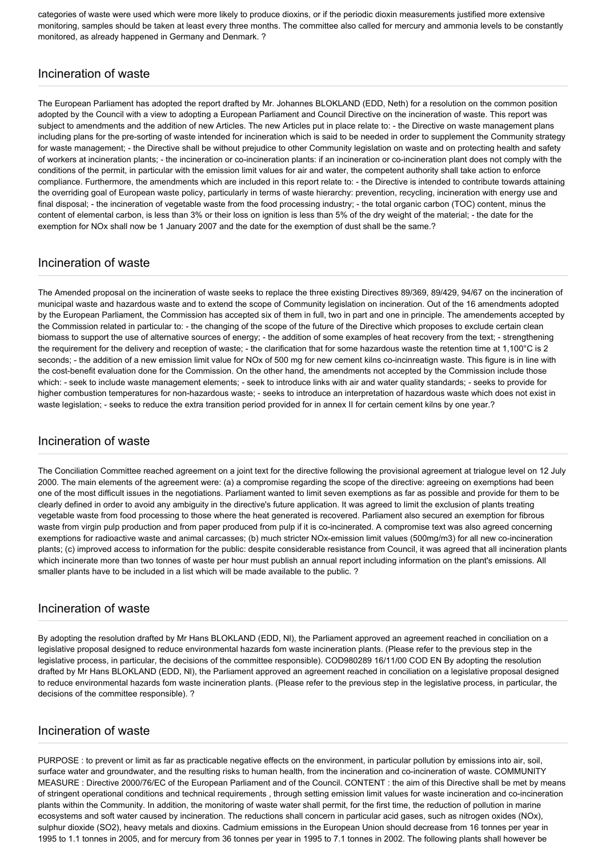categories of waste were used which were more likely to produce dioxins, or if the periodic dioxin measurements justified more extensive monitoring, samples should be taken at least every three months. The committee also called for mercury and ammonia levels to be constantly monitored, as already happened in Germany and Denmark. ?

# Incineration of waste

The European Parliament has adopted the report drafted by Mr. Johannes BLOKLAND (EDD, Neth) for a resolution on the common position adopted by the Council with a view to adopting a European Parliament and Council Directive on the incineration of waste. This report was subject to amendments and the addition of new Articles. The new Articles put in place relate to: - the Directive on waste management plans including plans for the pre-sorting of waste intended for incineration which is said to be needed in order to supplement the Community strategy for waste management; - the Directive shall be without prejudice to other Community legislation on waste and on protecting health and safety of workers at incineration plants; - the incineration or co-incineration plants: if an incineration or co-incineration plant does not comply with the conditions of the permit, in particular with the emission limit values for air and water, the competent authority shall take action to enforce compliance. Furthermore, the amendments which are included in this report relate to: - the Directive is intended to contribute towards attaining the overriding goal of European waste policy, particularly in terms of waste hierarchy: prevention, recycling, incineration with energy use and final disposal; - the incineration of vegetable waste from the food processing industry; - the total organic carbon (TOC) content, minus the content of elemental carbon, is less than 3% or their loss on ignition is less than 5% of the dry weight of the material; - the date for the exemption for NOx shall now be 1 January 2007 and the date for the exemption of dust shall be the same.?

# Incineration of waste

The Amended proposal on the incineration of waste seeks to replace the three existing Directives 89/369, 89/429, 94/67 on the incineration of municipal waste and hazardous waste and to extend the scope of Community legislation on incineration. Out of the 16 amendments adopted by the European Parliament, the Commission has accepted six of them in full, two in part and one in principle. The amendements accepted by the Commission related in particular to: - the changing of the scope of the future of the Directive which proposes to exclude certain clean biomass to support the use of alternative sources of energy; - the addition of some examples of heat recovery from the text; - strengthening the requirement for the delivery and reception of waste; - the clarification that for some hazardous waste the retention time at 1,100°C is 2 seconds; - the addition of a new emission limit value for NOx of 500 mg for new cement kilns co-incinreatign waste. This figure is in line with the cost-benefit evaluation done for the Commission. On the other hand, the amendments not accepted by the Commission include those which: - seek to include waste management elements; - seek to introduce links with air and water quality standards; - seeks to provide for higher combustion temperatures for non-hazardous waste; - seeks to introduce an interpretation of hazardous waste which does not exist in waste legislation; - seeks to reduce the extra transition period provided for in annex II for certain cement kilns by one year.?

# Incineration of waste

The Conciliation Committee reached agreement on a joint text for the directive following the provisional agreement at trialogue level on 12 July 2000. The main elements of the agreement were: (a) a compromise regarding the scope of the directive: agreeing on exemptions had been one of the most difficult issues in the negotiations. Parliament wanted to limit seven exemptions as far as possible and provide for them to be clearly defined in order to avoid any ambiguity in the directive's future application. It was agreed to limit the exclusion of plants treating vegetable waste from food processing to those where the heat generated is recovered. Parliament also secured an exemption for fibrous waste from virgin pulp production and from paper produced from pulp if it is co-incinerated. A compromise text was also agreed concerning exemptions for radioactive waste and animal carcasses; (b) much stricter NOx-emission limit values (500mg/m3) for all new co-incineration plants; (c) improved access to information for the public: despite considerable resistance from Council, it was agreed that all incineration plants which incinerate more than two tonnes of waste per hour must publish an annual report including information on the plant's emissions. All smaller plants have to be included in a list which will be made available to the public. ?

#### Incineration of waste

By adopting the resolution drafted by Mr Hans BLOKLAND (EDD, NI), the Parliament approved an agreement reached in conciliation on a legislative proposal designed to reduce environmental hazards fom waste incineration plants. (Please refer to the previous step in the legislative process, in particular, the decisions of the committee responsible). COD980289 16/11/00 COD EN By adopting the resolution drafted by Mr Hans BLOKLAND (EDD, Nl), the Parliament approved an agreement reached in conciliation on a legislative proposal designed to reduce environmental hazards fom waste incineration plants. (Please refer to the previous step in the legislative process, in particular, the decisions of the committee responsible). ?

# Incineration of waste

PURPOSE: to prevent or limit as far as practicable negative effects on the environment, in particular pollution by emissions into air, soil, surface water and groundwater, and the resulting risks to human health, from the incineration and co-incineration of waste. COMMUNITY MEASURE : Directive 2000/76/EC of the European Parliament and of the Council. CONTENT : the aim of this Directive shall be met by means of stringent operational conditions and technical requirements , through setting emission limit values for waste incineration and co-incineration plants within the Community. In addition, the monitoring of waste water shall permit, for the first time, the reduction of pollution in marine ecosystems and soft water caused by incineration. The reductions shall concern in particular acid gases, such as nitrogen oxides (NOx), sulphur dioxide (SO2), heavy metals and dioxins. Cadmium emissions in the European Union should decrease from 16 tonnes per year in 1995 to 1.1 tonnes in 2005, and for mercury from 36 tonnes per year in 1995 to 7.1 tonnes in 2002. The following plants shall however be